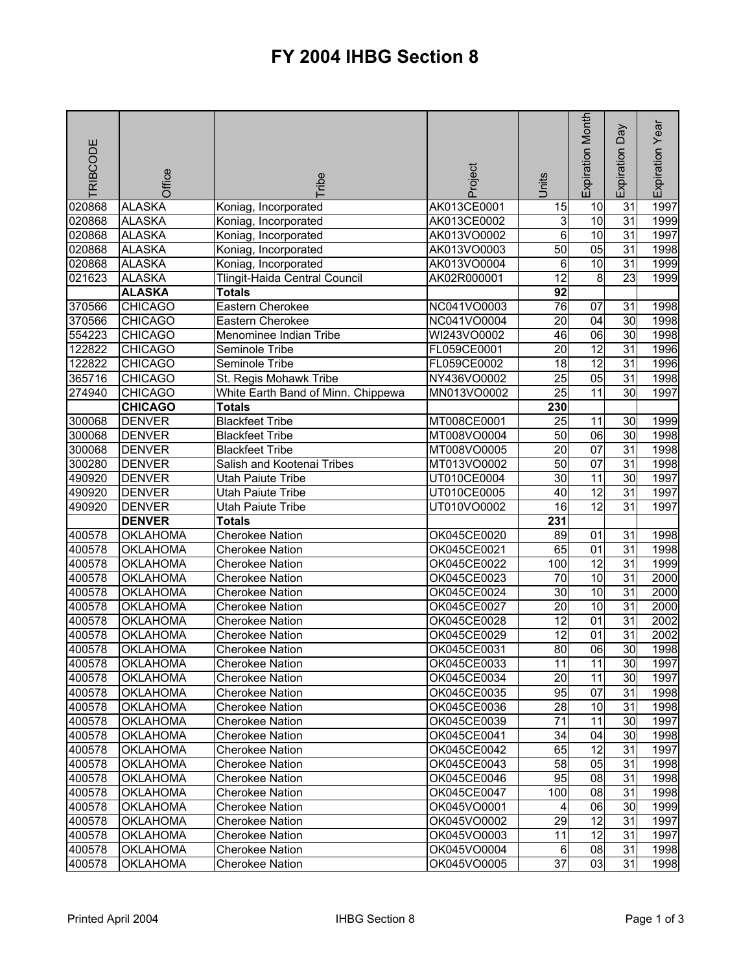## **FY 2004 IHBG Section 8**

| RIBCODE | Office          | <b>Tribe</b>                       | Project     | <b>Units</b>    | Expiration Month | Expiration Day  | Expiration Year |
|---------|-----------------|------------------------------------|-------------|-----------------|------------------|-----------------|-----------------|
| 020868  | <b>ALASKA</b>   | Koniag, Incorporated               | AK013CE0001 | 15              | 10               | $\overline{31}$ | 1997            |
| 020868  | <b>ALASKA</b>   | Koniag, Incorporated               | AK013CE0002 | 3               | $\overline{10}$  | 31              | 1999            |
| 020868  | <b>ALASKA</b>   | Koniag, Incorporated               | AK013VO0002 | $6\overline{6}$ | 10               | 31              | 1997            |
| 020868  | <b>ALASKA</b>   | Koniag, Incorporated               | AK013VO0003 | 50              | 05               | 31              | 1998            |
| 020868  | <b>ALASKA</b>   | Koniag, Incorporated               | AK013VO0004 | 6               | 10               | $\overline{31}$ | 1999            |
| 021623  | <b>ALASKA</b>   | Tlingit-Haida Central Council      | AK02R000001 | $\overline{12}$ | 8                | 23              | 1999            |
|         | <b>ALASKA</b>   | <b>Totals</b>                      |             | 92              |                  |                 |                 |
| 370566  | <b>CHICAGO</b>  | Eastern Cherokee                   | NC041VO0003 | $\overline{76}$ | 07               | 31              | 1998            |
| 370566  | <b>CHICAGO</b>  | Eastern Cherokee                   | NC041VO0004 | 20              | 04               | 30              | 1998            |
| 554223  | <b>CHICAGO</b>  | Menominee Indian Tribe             | WI243VO0002 | 46              | 06               | 30              | 1998            |
| 122822  | <b>CHICAGO</b>  | Seminole Tribe                     | FL059CE0001 | $\overline{20}$ | $\overline{12}$  | $\overline{31}$ | 1996            |
| 122822  | <b>CHICAGO</b>  | Seminole Tribe                     | FL059CE0002 | 18              | $\overline{12}$  | $\overline{31}$ | 1996            |
| 365716  | <b>CHICAGO</b>  | St. Regis Mohawk Tribe             | NY436VO0002 | 25              | 05               | $\overline{31}$ | 1998            |
| 274940  | <b>CHICAGO</b>  | White Earth Band of Minn. Chippewa | MN013VO0002 | $\overline{25}$ | 11               | 30              | 1997            |
|         | <b>CHICAGO</b>  | <b>Totals</b>                      |             | 230             |                  |                 |                 |
| 300068  | <b>DENVER</b>   | <b>Blackfeet Tribe</b>             | MT008CE0001 | 25              | 11               | 30              | 1999            |
| 300068  | <b>DENVER</b>   | <b>Blackfeet Tribe</b>             | MT008VO0004 | $\overline{50}$ | $\overline{06}$  | $\overline{30}$ | 1998            |
| 300068  | <b>DENVER</b>   | <b>Blackfeet Tribe</b>             | MT008VO0005 | 20              | 07               | 31              | 1998            |
| 300280  | <b>DENVER</b>   | Salish and Kootenai Tribes         | MT013VO0002 | 50              | $\overline{07}$  | 31              | 1998            |
| 490920  | <b>DENVER</b>   | <b>Utah Paiute Tribe</b>           | UT010CE0004 | 30              | 11               | 30              | 1997            |
| 490920  | <b>DENVER</b>   | <b>Utah Paiute Tribe</b>           | UT010CE0005 | $\overline{40}$ | $\overline{12}$  | $\overline{31}$ | 1997            |
| 490920  | <b>DENVER</b>   | Utah Paiute Tribe                  | UT010VO0002 | 16              | $\overline{12}$  | $\overline{31}$ | 1997            |
|         | <b>DENVER</b>   | <b>Totals</b>                      |             | 231             |                  |                 |                 |
| 400578  | <b>OKLAHOMA</b> | <b>Cherokee Nation</b>             | OK045CE0020 | 89              | 01               | $\overline{31}$ | 1998            |
| 400578  | <b>OKLAHOMA</b> | Cherokee Nation                    | OK045CE0021 | 65              | $\overline{01}$  | $\overline{31}$ | 1998            |
| 400578  | <b>OKLAHOMA</b> | Cherokee Nation                    | OK045CE0022 | 100             | $\overline{12}$  | $\overline{31}$ | 1999            |
| 400578  | <b>OKLAHOMA</b> | Cherokee Nation                    | OK045CE0023 | 70              | 10               | $\overline{31}$ | 2000            |
| 400578  | <b>OKLAHOMA</b> | <b>Cherokee Nation</b>             | OK045CE0024 | $\overline{30}$ | 10               | $\overline{31}$ | 2000            |
| 400578  | <b>OKLAHOMA</b> | <b>Cherokee Nation</b>             | OK045CE0027 | $\overline{20}$ | $\overline{10}$  | $\overline{31}$ | 2000            |
| 400578  | <b>OKLAHOMA</b> | <b>Cherokee Nation</b>             | OK045CE0028 | $\overline{12}$ | $\overline{01}$  | $\overline{31}$ | 2002            |
| 400578  | <b>OKLAHOMA</b> | <b>Cherokee Nation</b>             | OK045CE0029 | 12              | 01               | $\overline{31}$ | 2002            |
| 400578  | <b>OKLAHOMA</b> | <b>Cherokee Nation</b>             | OK045CE0031 | 80              | 8                | 30              | 1998            |
| 400578  | <b>OKLAHOMA</b> | <b>Cherokee Nation</b>             | OK045CE0033 | 11              | 11               | 30              | 1997            |
| 400578  | <b>OKLAHOMA</b> | <b>Cherokee Nation</b>             | OK045CE0034 | 20              | 11               | 30              | 1997            |
| 400578  | OKLAHOMA        | <b>Cherokee Nation</b>             | OK045CE0035 | 95              | 07               | 31              | 1998            |
| 400578  | <b>OKLAHOMA</b> | <b>Cherokee Nation</b>             | OK045CE0036 | 28              | 10               | 31              | 1998            |
| 400578  | <b>OKLAHOMA</b> | Cherokee Nation                    | OK045CE0039 | 71              | 11               | 30              | 1997            |
| 400578  | <b>OKLAHOMA</b> | <b>Cherokee Nation</b>             | OK045CE0041 | 34              | 04               | 30              | 1998            |
| 400578  | <b>OKLAHOMA</b> | <b>Cherokee Nation</b>             | OK045CE0042 | 65              | 12               | 31              | 1997            |
| 400578  | <b>OKLAHOMA</b> | <b>Cherokee Nation</b>             | OK045CE0043 | 58              | 05               | 31              | 1998            |
| 400578  | <b>OKLAHOMA</b> | <b>Cherokee Nation</b>             | OK045CE0046 | 95              | 08               | 31              | 1998            |
| 400578  | <b>OKLAHOMA</b> | <b>Cherokee Nation</b>             | OK045CE0047 | 100             | 08               | 31              | 1998            |
| 400578  | <b>OKLAHOMA</b> | <b>Cherokee Nation</b>             | OK045VO0001 | 4               | 06               | 30              | 1999            |
| 400578  | <b>OKLAHOMA</b> | <b>Cherokee Nation</b>             | OK045VO0002 | 29              | 12               | 31              | 1997            |
| 400578  | <b>OKLAHOMA</b> | <b>Cherokee Nation</b>             | OK045VO0003 | 11              | 12               | 31              | 1997            |
| 400578  | <b>OKLAHOMA</b> | Cherokee Nation                    | OK045VO0004 | 6               | 08               | 31              | 1998            |
| 400578  | <b>OKLAHOMA</b> | Cherokee Nation                    | OK045VO0005 | $\overline{37}$ | 03               | 31              | 1998            |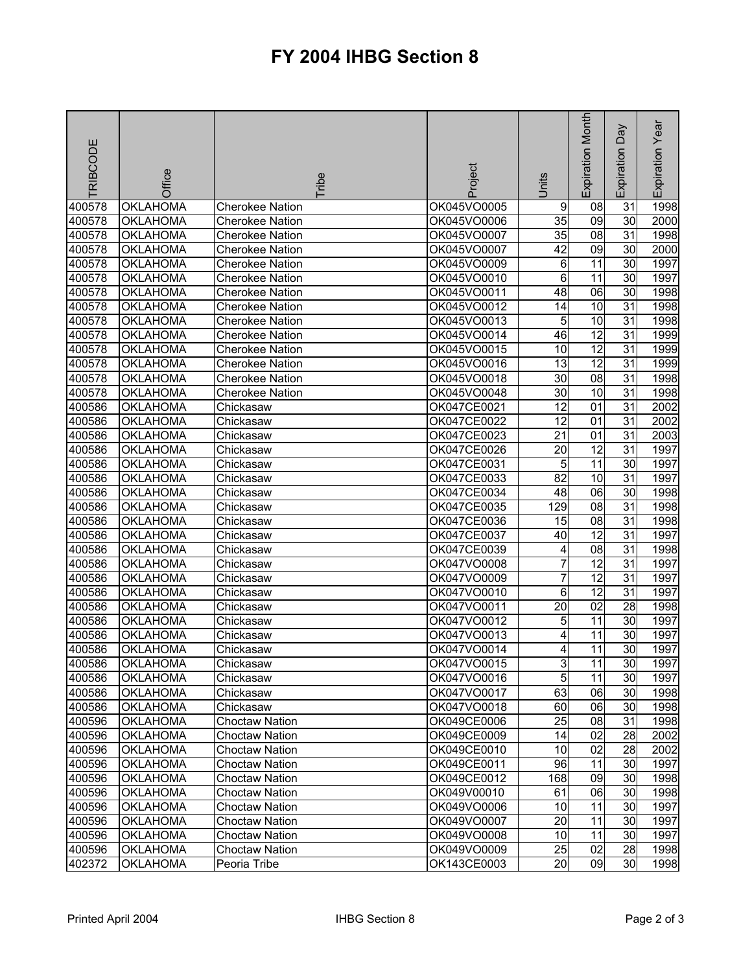## **FY 2004 IHBG Section 8**

| RIBCODE | Office          | <b>Tribe</b>           | Project     | Units           | Expiration Month | Day<br>Expiration | Expiration Year |
|---------|-----------------|------------------------|-------------|-----------------|------------------|-------------------|-----------------|
| 400578  | <b>OKLAHOMA</b> | <b>Cherokee Nation</b> | OK045VO0005 | 9               | 08               | 31                | 1998            |
| 400578  | <b>OKLAHOMA</b> | Cherokee Nation        | OK045VO0006 | 35              | 09               | 30                | 2000            |
| 400578  | <b>OKLAHOMA</b> | <b>Cherokee Nation</b> | OK045VO0007 | 35              | 8                | 31                | 1998            |
| 400578  | <b>OKLAHOMA</b> | <b>Cherokee Nation</b> | OK045VO0007 | 42              | 09               | 30                | 2000            |
| 400578  | <b>OKLAHOMA</b> | <b>Cherokee Nation</b> | OK045VO0009 | 6               | $\overline{11}$  | 30                | 1997            |
| 400578  | <b>OKLAHOMA</b> | <b>Cherokee Nation</b> | OK045VO0010 | 6               | $\overline{11}$  | 30                | 1997            |
| 400578  | <b>OKLAHOMA</b> | <b>Cherokee Nation</b> | OK045VO0011 | 48              | $\overline{06}$  | $\overline{30}$   | 1998            |
| 400578  | <b>OKLAHOMA</b> | <b>Cherokee Nation</b> | OK045VO0012 | 14              | 10               | 31                | 1998            |
| 400578  | <b>OKLAHOMA</b> | <b>Cherokee Nation</b> | OK045VO0013 | 5               | 10               | 31                | 1998            |
| 400578  | <b>OKLAHOMA</b> | <b>Cherokee Nation</b> | OK045VO0014 | 46              | 12               | 31                | 1999            |
| 400578  | <b>OKLAHOMA</b> | <b>Cherokee Nation</b> | OK045VO0015 | 10              | $\overline{12}$  | $\overline{31}$   | 1999            |
| 400578  | <b>OKLAHOMA</b> | <b>Cherokee Nation</b> | OK045VO0016 | 13              | 12               | 31                | 1999            |
| 400578  | <b>OKLAHOMA</b> | <b>Cherokee Nation</b> | OK045VO0018 | 30              | 08               | 31                | 1998            |
| 400578  | <b>OKLAHOMA</b> | <b>Cherokee Nation</b> | OK045VO0048 | 30              | 10               | 31                | 1998            |
| 400586  | <b>OKLAHOMA</b> | Chickasaw              | OK047CE0021 | 12              | 01               | 31                | 2002            |
| 400586  | <b>OKLAHOMA</b> | Chickasaw              | OK047CE0022 | 12              | 01               | 31                | 2002            |
| 400586  | <b>OKLAHOMA</b> | Chickasaw              | OK047CE0023 | $\overline{21}$ | 01               | $\overline{31}$   | 2003            |
| 400586  | <b>OKLAHOMA</b> | Chickasaw              | OK047CE0026 | 20              | 12               | $\overline{31}$   | 1997            |
| 400586  | <b>OKLAHOMA</b> | Chickasaw              | OK047CE0031 | 5               | $\overline{11}$  | 30                | 1997            |
| 400586  | <b>OKLAHOMA</b> | Chickasaw              | OK047CE0033 | 82              | $\overline{10}$  | $\overline{31}$   | 1997            |
| 400586  | <b>OKLAHOMA</b> | Chickasaw              | OK047CE0034 | $\overline{48}$ | $\overline{06}$  | 30                | 1998            |
| 400586  | <b>OKLAHOMA</b> | Chickasaw              | OK047CE0035 | 129             | 08               | $\overline{31}$   | 1998            |
| 400586  | <b>OKLAHOMA</b> | Chickasaw              | OK047CE0036 | $\overline{15}$ | 08               | $\overline{31}$   | 1998            |
| 400586  | <b>OKLAHOMA</b> | Chickasaw              | OK047CE0037 | 40              | $\overline{12}$  | $\overline{31}$   | 1997            |
| 400586  | <b>OKLAHOMA</b> | Chickasaw              | OK047CE0039 | 4               | 08               | $\overline{31}$   | 1998            |
| 400586  | <b>OKLAHOMA</b> | Chickasaw              | OK047VO0008 | $\overline{7}$  | $\overline{12}$  | $\overline{31}$   | 1997            |
| 400586  | <b>OKLAHOMA</b> | Chickasaw              | OK047VO0009 | $\overline{7}$  | $\overline{12}$  | $\overline{31}$   | 1997            |
| 400586  | <b>OKLAHOMA</b> | Chickasaw              | OK047VO0010 | $\overline{6}$  | $\overline{12}$  | $\overline{31}$   | 1997            |
| 400586  | <b>OKLAHOMA</b> | Chickasaw              | OK047VO0011 | $\overline{20}$ | $\overline{02}$  | 28                | 1998            |
| 400586  | <b>OKLAHOMA</b> | Chickasaw              | OK047VO0012 | 5               | 11               | 30                | 1997            |
| 400586  | <b>OKLAHOMA</b> | Chickasaw              | OK047VO0013 | 4               | 11               | 30                | 1997            |
| 400586  | <b>OKLAHOMA</b> | Chickasaw              | OK047VO0014 | 4               | 11               | 30                | 1997            |
| 400586  | <b>OKLAHOMA</b> | Chickasaw              | OK047VO0015 | $\overline{3}$  | 11               | 30                | 1997            |
| 400586  | OKLAHOMA        | Chickasaw              | OK047VO0016 | 5               | 11               | 30                | 1997            |
| 400586  | <b>OKLAHOMA</b> | Chickasaw              | OK047VO0017 | 63              | 06               | 30                | 1998            |
| 400586  | <b>OKLAHOMA</b> | Chickasaw              | OK047VO0018 | 60              | 06               | $\overline{30}$   | 1998            |
| 400596  | <b>OKLAHOMA</b> | Choctaw Nation         | OK049CE0006 | 25              | 08               | 31                | 1998            |
| 400596  | <b>OKLAHOMA</b> | <b>Choctaw Nation</b>  | OK049CE0009 | 14              | 02               | 28                | 2002            |
| 400596  | <b>OKLAHOMA</b> | <b>Choctaw Nation</b>  | OK049CE0010 | 10              | 02               | 28                | 2002            |
| 400596  | <b>OKLAHOMA</b> | <b>Choctaw Nation</b>  | OK049CE0011 | 96              | 11               | 30                | 1997            |
| 400596  | <b>OKLAHOMA</b> | <b>Choctaw Nation</b>  | OK049CE0012 | 168             | 09               | 30                | 1998            |
| 400596  | <b>OKLAHOMA</b> | <b>Choctaw Nation</b>  | OK049V00010 | 61              | 06               | 30                | 1998            |
| 400596  | <b>OKLAHOMA</b> | <b>Choctaw Nation</b>  | OK049VO0006 | 10              | 11               | 30                | 1997            |
| 400596  | <b>OKLAHOMA</b> | <b>Choctaw Nation</b>  | OK049VO0007 | 20              | 11               | 30                | 1997            |
| 400596  | <b>OKLAHOMA</b> | Choctaw Nation         | OK049VO0008 | 10              | 11               | 30                | 1997            |
| 400596  | <b>OKLAHOMA</b> | Choctaw Nation         | OK049VO0009 | 25              | 02               | 28                | 1998            |
| 402372  | <b>OKLAHOMA</b> | Peoria Tribe           | OK143CE0003 | 20              | 09               | 30                | 1998            |